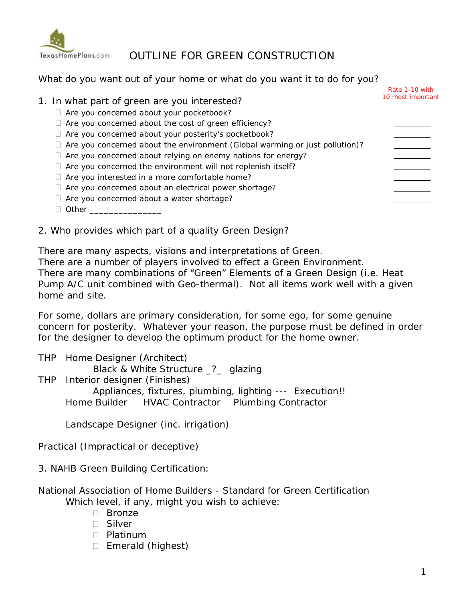

# sHomePlans.com OUTLINE FOR GREEN CONSTRUCTION

#### What do you want out of your home or what do you want it to do for you?

|                                                                                                                                                                                                                                | Rate 1-10 with    |
|--------------------------------------------------------------------------------------------------------------------------------------------------------------------------------------------------------------------------------|-------------------|
| 1. In what part of green are you interested?                                                                                                                                                                                   | 10 most important |
| $\Box$ Are you concerned about your pocketbook?                                                                                                                                                                                |                   |
| Are you concerned about the cost of green efficiency?                                                                                                                                                                          |                   |
| Are you concerned about your posterity's pocketbook?                                                                                                                                                                           |                   |
| Are you concerned about the environment (Global warming or just pollution)?                                                                                                                                                    |                   |
| Are you concerned about relying on enemy nations for energy?                                                                                                                                                                   |                   |
| Are you concerned the environment will not replenish itself?                                                                                                                                                                   |                   |
| Are you interested in a more comfortable home?                                                                                                                                                                                 |                   |
| Are you concerned about an electrical power shortage?                                                                                                                                                                          |                   |
| Are you concerned about a water shortage?                                                                                                                                                                                      |                   |
| Other the contract of the contract of the contract of the contract of the contract of the contract of the contract of the contract of the contract of the contract of the contract of the contract of the contract of the cont |                   |
|                                                                                                                                                                                                                                |                   |

2. Who provides which part of a quality Green Design?

There are many aspects, visions and interpretations of Green.

There are a number of players involved to effect a Green Environment. There are many combinations of "Green" Elements of a Green Design (i.e. Heat Pump A/C unit combined with Geo-thermal). Not all items work well with a given home and site.

For some, dollars are primary consideration, for some ego, for some genuine concern for posterity. Whatever your reason, the purpose must be defined in order for the designer to develop the optimum product for the home owner.

THP Home Designer (Architect) Black & White Structure \_?\_ glazing THP Interior designer (Finishes) Appliances, fixtures, plumbing, lighting --- Execution!! Home Builder HVAC Contractor Plumbing Contractor

Landscape Designer (inc. irrigation)

Practical (Impractical or deceptive)

3. NAHB Green Building Certification:

- National Association of Home Builders Standard for Green Certification Which level, if any, might you wish to achieve:
	- □ Bronze
	- Silver
	- D Platinum
	- $\Box$  Emerald (highest)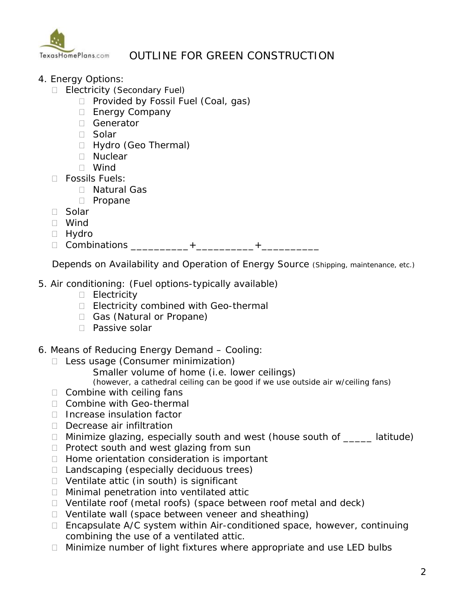

## OUTLINE FOR GREEN CONSTRUCTION

- 4. Energy Options:
	- Electricity (Secondary Fuel)
		- $\Box$  Provided by Fossil Fuel (Coal, gas)
		- □ Energy Company
		- □ Generator
		- □ Solar
		- Hydro (Geo Thermal)
		- Nuclear
		- Wind
	- Fossils Fuels:
		- Natural Gas
		- D Propane
	- □ Solar
	- Wind
	- Hydro
	- □ Combinations \_\_\_\_\_\_\_\_\_\_\_+\_\_\_\_\_\_\_\_\_\_\_+\_\_\_\_\_\_\_\_\_\_

Depends on Availability and Operation of Energy Source (Shipping, maintenance, etc.)

- 5. Air conditioning: (Fuel options-typically available)
	- D Electricity
	- Electricity combined with Geo-thermal
	- Gas (Natural or Propane)
	- □ Passive solar
- 6. Means of Reducing Energy Demand Cooling:
	- □ Less usage (Consumer minimization)
		- Smaller volume of home (i.e. lower ceilings)
		- (however, a cathedral ceiling can be good if we use outside air w/ceiling fans)
	- $\Box$  Combine with ceiling fans
	- □ Combine with Geo-thermal
	- $\Box$  Increase insulation factor
	- Decrease air infiltration
	- □ Minimize glazing, especially south and west (house south of \_\_\_\_\_ latitude)
	- $\Box$  Protect south and west glazing from sun
	- $\Box$  Home orientation consideration is important
	- $\Box$  Landscaping (especially deciduous trees)
	- $\Box$  Ventilate attic (in south) is significant
	- □ Minimal penetration into ventilated attic
	- □ Ventilate roof (metal roofs) (space between roof metal and deck)
	- $\Box$  Ventilate wall (space between veneer and sheathing)
	- $\Box$  Encapsulate A/C system within Air-conditioned space, however, continuing combining the use of a ventilated attic.
	- $\Box$  Minimize number of light fixtures where appropriate and use LED bulbs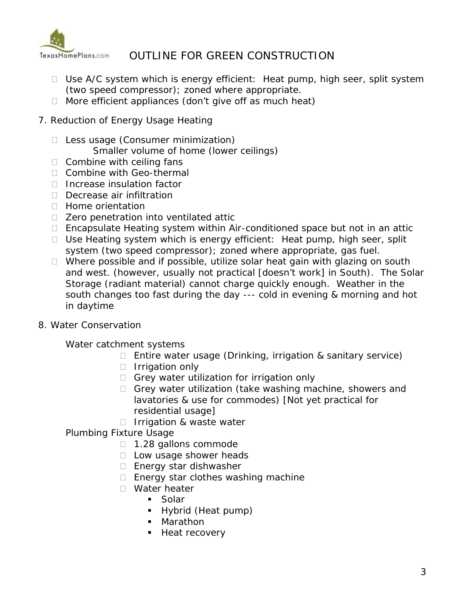

# OUTLINE FOR GREEN CONSTRUCTION

- $\Box$  Use A/C system which is energy efficient: Heat pump, high seer, split system (two speed compressor); zoned where appropriate.
- $\Box$  More efficient appliances (don't give off as much heat)
- 7. Reduction of Energy Usage Heating
	- □ Less usage (Consumer minimization)
		- Smaller volume of home (lower ceilings)
	- $\Box$  Combine with ceiling fans
	- □ Combine with Geo-thermal
	- □ Increase insulation factor
	- □ Decrease air infiltration
	- $\Box$  Home orientation
	- □ Zero penetration into ventilated attic
	- $\Box$  Encapsulate Heating system within Air-conditioned space but not in an attic
	- $\Box$  Use Heating system which is energy efficient: Heat pump, high seer, split system (two speed compressor); zoned where appropriate, gas fuel.
	- $\Box$  Where possible and if possible, utilize solar heat gain with glazing on south and west. (however, usually not practical [doesn't work] in South). The Solar Storage (radiant material) cannot charge quickly enough. Weather in the south changes too fast during the day --- cold in evening & morning and hot in daytime
- 8. Water Conservation

Water catchment systems

- $\Box$  Entire water usage (Drinking, irrigation & sanitary service)
- $\Box$  Irrigation only
- $\Box$  Grey water utilization for irrigation only
- Grey water utilization (take washing machine, showers and lavatories & use for commodes) [Not yet practical for residential usage]
- $\Box$  Irrigation & waste water
- Plumbing Fixture Usage
	- □ 1.28 gallons commode
	- D Low usage shower heads
	- □ Energy star dishwasher
	- □ Energy star clothes washing machine
	- □ Water heater
		- Solar
		- Hybrid (Heat pump)
		- Marathon
		- **Heat recovery**